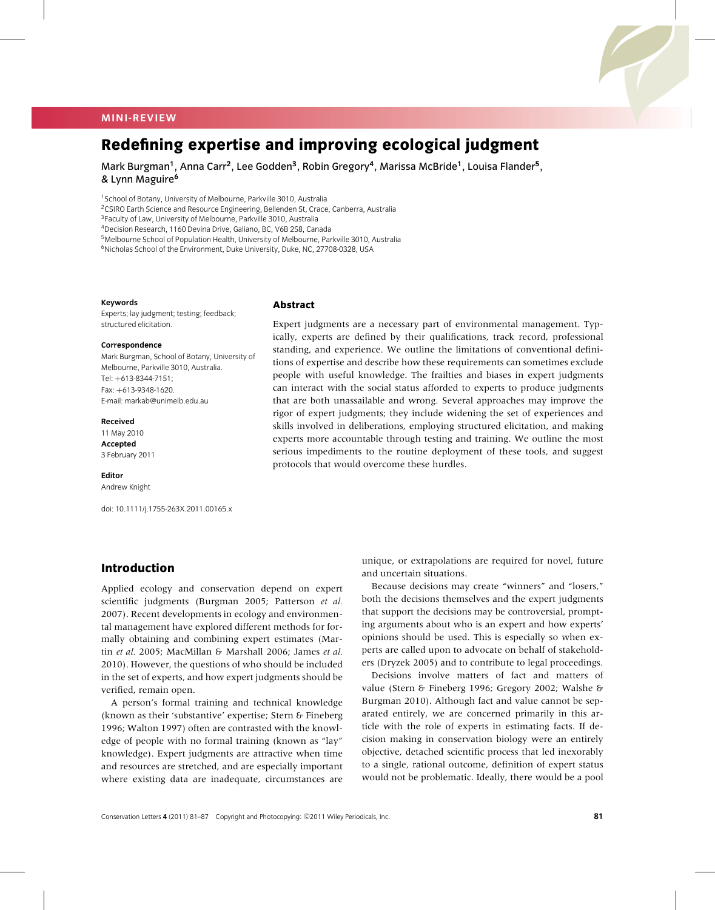# **MINI-REVIEW**

# **Redefining expertise and improving ecological judgment**

Mark Burgman**1**, Anna Carr**2**, Lee Godden**3**, Robin Gregory**4**, Marissa McBride**1**, Louisa Flander**5**, & Lynn Maguire**<sup>6</sup>**

<sup>1</sup> School of Botany, University of Melbourne, Parkville 3010, Australia

2CSIRO Earth Science and Resource Engineering, Bellenden St, Crace, Canberra, Australia

3Faculty of Law, University of Melbourne, Parkville 3010, Australia

4Decision Research, 1160 Devina Drive, Galiano, BC, V6B 2S8, Canada

5Melbourne School of Population Health, University of Melbourne, Parkville 3010, Australia

6Nicholas School of the Environment, Duke University, Duke, NC, 27708-0328, USA

#### **Keywords**

Experts; lay judgment; testing; feedback; structured elicitation.

#### **Correspondence**

Mark Burgman, School of Botany, University of Melbourne, Parkville 3010, Australia. Tel: +613-8344-7151; Fax: +613-9348-1620. E-mail: markab@unimelb.edu.au

#### **Received**

11 May 2010 **Accepted** 3 February 2011

#### **Editor**

Andrew Knight

doi: 10.1111/j.1755-263X.2011.00165.x

# **Introduction**

Applied ecology and conservation depend on expert scientific judgments (Burgman 2005; Patterson *et al.* 2007). Recent developments in ecology and environmental management have explored different methods for formally obtaining and combining expert estimates (Martin *et al.* 2005; MacMillan & Marshall 2006; James *et al.* 2010). However, the questions of who should be included in the set of experts, and how expert judgments should be verified, remain open.

A person's formal training and technical knowledge (known as their 'substantive' expertise; Stern & Fineberg 1996; Walton 1997) often are contrasted with the knowledge of people with no formal training (known as "lay" knowledge). Expert judgments are attractive when time and resources are stretched, and are especially important where existing data are inadequate, circumstances are

### **Abstract**

Expert judgments are a necessary part of environmental management. Typically, experts are defined by their qualifications, track record, professional standing, and experience. We outline the limitations of conventional definitions of expertise and describe how these requirements can sometimes exclude people with useful knowledge. The frailties and biases in expert judgments can interact with the social status afforded to experts to produce judgments that are both unassailable and wrong. Several approaches may improve the rigor of expert judgments; they include widening the set of experiences and skills involved in deliberations, employing structured elicitation, and making experts more accountable through testing and training. We outline the most serious impediments to the routine deployment of these tools, and suggest protocols that would overcome these hurdles.

> unique, or extrapolations are required for novel, future and uncertain situations.

> Because decisions may create "winners" and "losers," both the decisions themselves and the expert judgments that support the decisions may be controversial, prompting arguments about who is an expert and how experts' opinions should be used. This is especially so when experts are called upon to advocate on behalf of stakeholders (Dryzek 2005) and to contribute to legal proceedings.

> Decisions involve matters of fact and matters of value (Stern & Fineberg 1996; Gregory 2002; Walshe & Burgman 2010). Although fact and value cannot be separated entirely, we are concerned primarily in this article with the role of experts in estimating facts. If decision making in conservation biology were an entirely objective, detached scientific process that led inexorably to a single, rational outcome, definition of expert status would not be problematic. Ideally, there would be a pool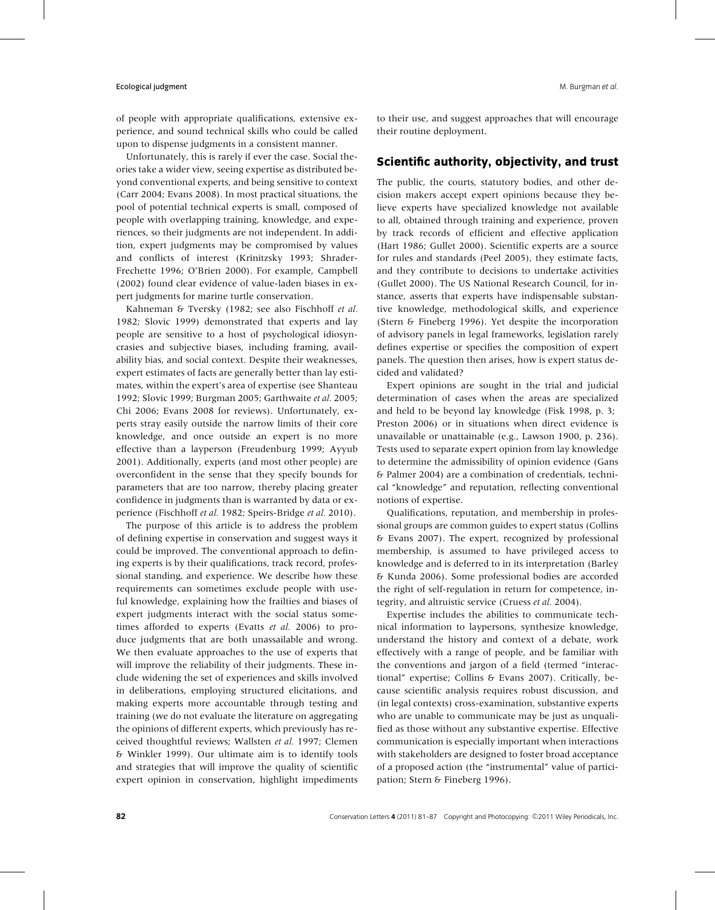of people with appropriate qualifications, extensive experience, and sound technical skills who could be called upon to dispense judgments in a consistent manner.

Unfortunately, this is rarely if ever the case. Social theories take a wider view, seeing expertise as distributed beyond conventional experts, and being sensitive to context (Carr 2004; Evans 2008). In most practical situations, the pool of potential technical experts is small, composed of people with overlapping training, knowledge, and experiences, so their judgments are not independent. In addition, expert judgments may be compromised by values and conflicts of interest (Krinitzsky 1993; Shrader-Frechette 1996; O'Brien 2000). For example, Campbell (2002) found clear evidence of value-laden biases in expert judgments for marine turtle conservation.

Kahneman & Tversky (1982; see also Fischhoff *et al.* 1982; Slovic 1999) demonstrated that experts and lay people are sensitive to a host of psychological idiosyncrasies and subjective biases, including framing, availability bias, and social context. Despite their weaknesses, expert estimates of facts are generally better than lay estimates, within the expert's area of expertise (see Shanteau 1992; Slovic 1999; Burgman 2005; Garthwaite *et al.* 2005; Chi 2006; Evans 2008 for reviews). Unfortunately, experts stray easily outside the narrow limits of their core knowledge, and once outside an expert is no more effective than a layperson (Freudenburg 1999; Ayyub 2001). Additionally, experts (and most other people) are overconfident in the sense that they specify bounds for parameters that are too narrow, thereby placing greater confidence in judgments than is warranted by data or experience (Fischhoff *et al.* 1982; Speirs-Bridge *et al.* 2010).

The purpose of this article is to address the problem of defining expertise in conservation and suggest ways it could be improved. The conventional approach to defining experts is by their qualifications, track record, professional standing, and experience. We describe how these requirements can sometimes exclude people with useful knowledge, explaining how the frailties and biases of expert judgments interact with the social status sometimes afforded to experts (Evatts *et al.* 2006) to produce judgments that are both unassailable and wrong. We then evaluate approaches to the use of experts that will improve the reliability of their judgments. These include widening the set of experiences and skills involved in deliberations, employing structured elicitations, and making experts more accountable through testing and training (we do not evaluate the literature on aggregating the opinions of different experts, which previously has received thoughtful reviews; Wallsten *et al.* 1997; Clemen & Winkler 1999). Our ultimate aim is to identify tools and strategies that will improve the quality of scientific expert opinion in conservation, highlight impediments to their use, and suggest approaches that will encourage their routine deployment.

# **Scientific authority, objectivity, and trust**

The public, the courts, statutory bodies, and other decision makers accept expert opinions because they believe experts have specialized knowledge not available to all, obtained through training and experience, proven by track records of efficient and effective application (Hart 1986; Gullet 2000). Scientific experts are a source for rules and standards (Peel 2005), they estimate facts, and they contribute to decisions to undertake activities (Gullet 2000). The US National Research Council, for instance, asserts that experts have indispensable substantive knowledge, methodological skills, and experience (Stern & Fineberg 1996). Yet despite the incorporation of advisory panels in legal frameworks, legislation rarely defines expertise or specifies the composition of expert panels. The question then arises, how is expert status decided and validated?

Expert opinions are sought in the trial and judicial determination of cases when the areas are specialized and held to be beyond lay knowledge (Fisk 1998, p. 3; Preston 2006) or in situations when direct evidence is unavailable or unattainable (e.g., Lawson 1900, p. 236). Tests used to separate expert opinion from lay knowledge to determine the admissibility of opinion evidence (Gans & Palmer 2004) are a combination of credentials, technical "knowledge" and reputation, reflecting conventional notions of expertise.

Qualifications, reputation, and membership in professional groups are common guides to expert status (Collins & Evans 2007). The expert, recognized by professional membership, is assumed to have privileged access to knowledge and is deferred to in its interpretation (Barley & Kunda 2006). Some professional bodies are accorded the right of self-regulation in return for competence, integrity, and altruistic service (Cruess *et al.* 2004).

Expertise includes the abilities to communicate technical information to laypersons, synthesize knowledge, understand the history and context of a debate, work effectively with a range of people, and be familiar with the conventions and jargon of a field (termed "interactional" expertise; Collins & Evans 2007). Critically, because scientific analysis requires robust discussion, and (in legal contexts) cross-examination, substantive experts who are unable to communicate may be just as unqualified as those without any substantive expertise. Effective communication is especially important when interactions with stakeholders are designed to foster broad acceptance of a proposed action (the "instrumental" value of participation; Stern & Fineberg 1996).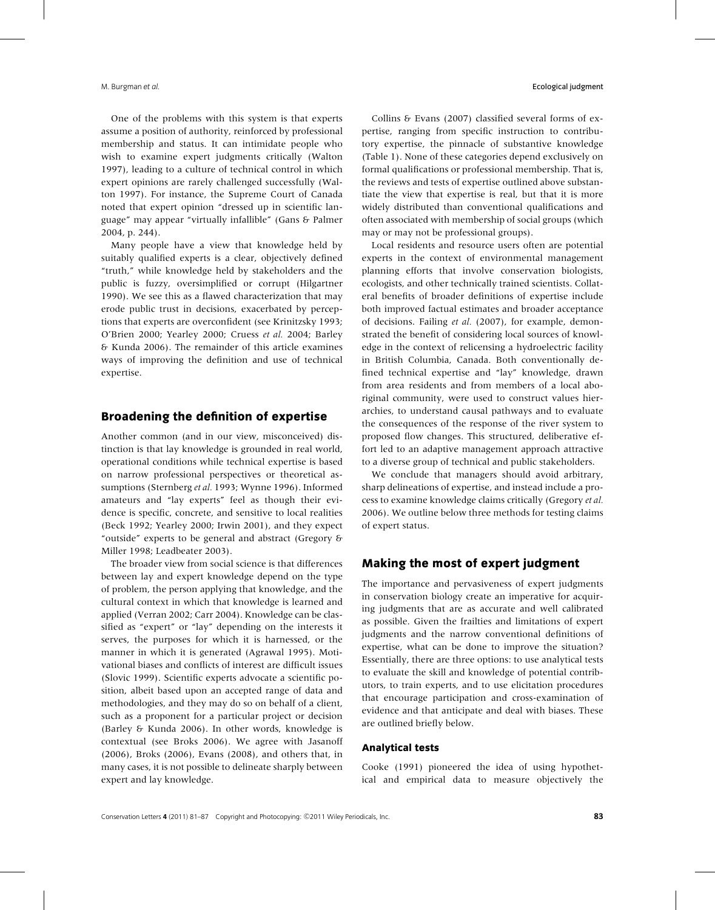One of the problems with this system is that experts assume a position of authority, reinforced by professional membership and status. It can intimidate people who wish to examine expert judgments critically (Walton 1997), leading to a culture of technical control in which expert opinions are rarely challenged successfully (Walton 1997). For instance, the Supreme Court of Canada noted that expert opinion "dressed up in scientific language" may appear "virtually infallible" (Gans & Palmer 2004, p. 244).

Many people have a view that knowledge held by suitably qualified experts is a clear, objectively defined "truth," while knowledge held by stakeholders and the public is fuzzy, oversimplified or corrupt (Hilgartner 1990). We see this as a flawed characterization that may erode public trust in decisions, exacerbated by perceptions that experts are overconfident (see Krinitzsky 1993; O'Brien 2000; Yearley 2000; Cruess *et al.* 2004; Barley & Kunda 2006). The remainder of this article examines ways of improving the definition and use of technical expertise.

### **Broadening the definition of expertise**

Another common (and in our view, misconceived) distinction is that lay knowledge is grounded in real world, operational conditions while technical expertise is based on narrow professional perspectives or theoretical assumptions (Sternberg *et al.* 1993; Wynne 1996). Informed amateurs and "lay experts" feel as though their evidence is specific, concrete, and sensitive to local realities (Beck 1992; Yearley 2000; Irwin 2001), and they expect "outside" experts to be general and abstract (Gregory & Miller 1998; Leadbeater 2003).

The broader view from social science is that differences between lay and expert knowledge depend on the type of problem, the person applying that knowledge, and the cultural context in which that knowledge is learned and applied (Verran 2002; Carr 2004). Knowledge can be classified as "expert" or "lay" depending on the interests it serves, the purposes for which it is harnessed, or the manner in which it is generated (Agrawal 1995). Motivational biases and conflicts of interest are difficult issues (Slovic 1999). Scientific experts advocate a scientific position, albeit based upon an accepted range of data and methodologies, and they may do so on behalf of a client, such as a proponent for a particular project or decision (Barley & Kunda 2006). In other words, knowledge is contextual (see Broks 2006). We agree with Jasanoff (2006), Broks (2006), Evans (2008), and others that, in many cases, it is not possible to delineate sharply between expert and lay knowledge.

Collins & Evans (2007) classified several forms of expertise, ranging from specific instruction to contributory expertise, the pinnacle of substantive knowledge (Table 1). None of these categories depend exclusively on formal qualifications or professional membership. That is, the reviews and tests of expertise outlined above substantiate the view that expertise is real, but that it is more widely distributed than conventional qualifications and often associated with membership of social groups (which may or may not be professional groups).

Local residents and resource users often are potential experts in the context of environmental management planning efforts that involve conservation biologists, ecologists, and other technically trained scientists. Collateral benefits of broader definitions of expertise include both improved factual estimates and broader acceptance of decisions. Failing *et al.* (2007), for example, demonstrated the benefit of considering local sources of knowledge in the context of relicensing a hydroelectric facility in British Columbia, Canada. Both conventionally defined technical expertise and "lay" knowledge, drawn from area residents and from members of a local aboriginal community, were used to construct values hierarchies, to understand causal pathways and to evaluate the consequences of the response of the river system to proposed flow changes. This structured, deliberative effort led to an adaptive management approach attractive to a diverse group of technical and public stakeholders.

We conclude that managers should avoid arbitrary, sharp delineations of expertise, and instead include a process to examine knowledge claims critically (Gregory *et al.* 2006). We outline below three methods for testing claims of expert status.

# **Making the most of expert judgment**

The importance and pervasiveness of expert judgments in conservation biology create an imperative for acquiring judgments that are as accurate and well calibrated as possible. Given the frailties and limitations of expert judgments and the narrow conventional definitions of expertise, what can be done to improve the situation? Essentially, there are three options: to use analytical tests to evaluate the skill and knowledge of potential contributors, to train experts, and to use elicitation procedures that encourage participation and cross-examination of evidence and that anticipate and deal with biases. These are outlined briefly below.

#### **Analytical tests**

Cooke (1991) pioneered the idea of using hypothetical and empirical data to measure objectively the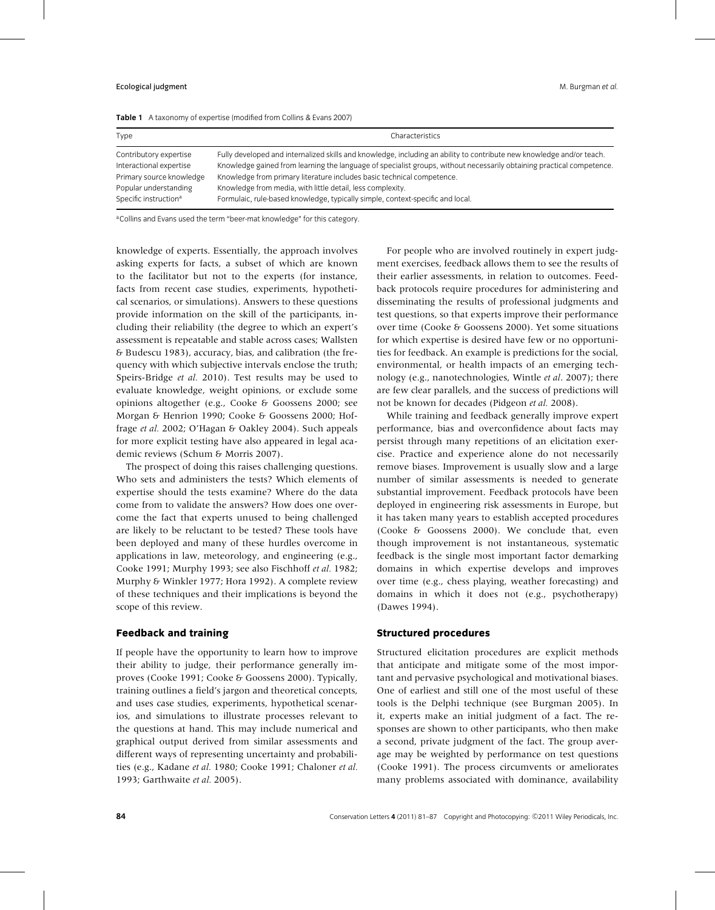| Type                              | Characteristics                                                                                                       |
|-----------------------------------|-----------------------------------------------------------------------------------------------------------------------|
| Contributory expertise            | Fully developed and internalized skills and knowledge, including an ability to contribute new knowledge and/or teach. |
| Interactional expertise           | Knowledge gained from learning the language of specialist groups, without necessarily obtaining practical competence. |
| Primary source knowledge          | Knowledge from primary literature includes basic technical competence.                                                |
| Popular understanding             | Knowledge from media, with little detail, less complexity.                                                            |
| Specific instruction <sup>a</sup> | Formulaic, rule-based knowledge, typically simple, context-specific and local.                                        |

**Table 1** A taxonomy of expertise (modified from Collins & Evans 2007)

<sup>a</sup>Collins and Evans used the term "beer-mat knowledge" for this category.

knowledge of experts. Essentially, the approach involves asking experts for facts, a subset of which are known to the facilitator but not to the experts (for instance, facts from recent case studies, experiments, hypothetical scenarios, or simulations). Answers to these questions provide information on the skill of the participants, including their reliability (the degree to which an expert's assessment is repeatable and stable across cases; Wallsten & Budescu 1983), accuracy, bias, and calibration (the frequency with which subjective intervals enclose the truth; Speirs-Bridge *et al.* 2010). Test results may be used to evaluate knowledge, weight opinions, or exclude some opinions altogether (e.g., Cooke & Goossens 2000; see Morgan & Henrion 1990; Cooke & Goossens 2000; Hoffrage *et al.* 2002; O'Hagan & Oakley 2004). Such appeals for more explicit testing have also appeared in legal academic reviews (Schum & Morris 2007).

The prospect of doing this raises challenging questions. Who sets and administers the tests? Which elements of expertise should the tests examine? Where do the data come from to validate the answers? How does one overcome the fact that experts unused to being challenged are likely to be reluctant to be tested? These tools have been deployed and many of these hurdles overcome in applications in law, meteorology, and engineering (e.g., Cooke 1991; Murphy 1993; see also Fischhoff *et al.* 1982; Murphy & Winkler 1977; Hora 1992). A complete review of these techniques and their implications is beyond the scope of this review.

### **Feedback and training**

If people have the opportunity to learn how to improve their ability to judge, their performance generally improves (Cooke 1991; Cooke & Goossens 2000). Typically, training outlines a field's jargon and theoretical concepts, and uses case studies, experiments, hypothetical scenarios, and simulations to illustrate processes relevant to the questions at hand. This may include numerical and graphical output derived from similar assessments and different ways of representing uncertainty and probabilities (e.g., Kadane *et al.* 1980; Cooke 1991; Chaloner *et al.* 1993; Garthwaite *et al.* 2005).

For people who are involved routinely in expert judgment exercises, feedback allows them to see the results of their earlier assessments, in relation to outcomes. Feedback protocols require procedures for administering and disseminating the results of professional judgments and test questions, so that experts improve their performance over time (Cooke & Goossens 2000). Yet some situations for which expertise is desired have few or no opportunities for feedback. An example is predictions for the social, environmental, or health impacts of an emerging technology (e.g., nanotechnologies, Wintle *et al*. 2007); there are few clear parallels, and the success of predictions will not be known for decades (Pidgeon *et al.* 2008).

While training and feedback generally improve expert performance, bias and overconfidence about facts may persist through many repetitions of an elicitation exercise. Practice and experience alone do not necessarily remove biases. Improvement is usually slow and a large number of similar assessments is needed to generate substantial improvement. Feedback protocols have been deployed in engineering risk assessments in Europe, but it has taken many years to establish accepted procedures (Cooke & Goossens 2000). We conclude that, even though improvement is not instantaneous, systematic feedback is the single most important factor demarking domains in which expertise develops and improves over time (e.g., chess playing, weather forecasting) and domains in which it does not (e.g., psychotherapy) (Dawes 1994).

### **Structured procedures**

Structured elicitation procedures are explicit methods that anticipate and mitigate some of the most important and pervasive psychological and motivational biases. One of earliest and still one of the most useful of these tools is the Delphi technique (see Burgman 2005). In it, experts make an initial judgment of a fact. The responses are shown to other participants, who then make a second, private judgment of the fact. The group average may be weighted by performance on test questions (Cooke 1991). The process circumvents or ameliorates many problems associated with dominance, availability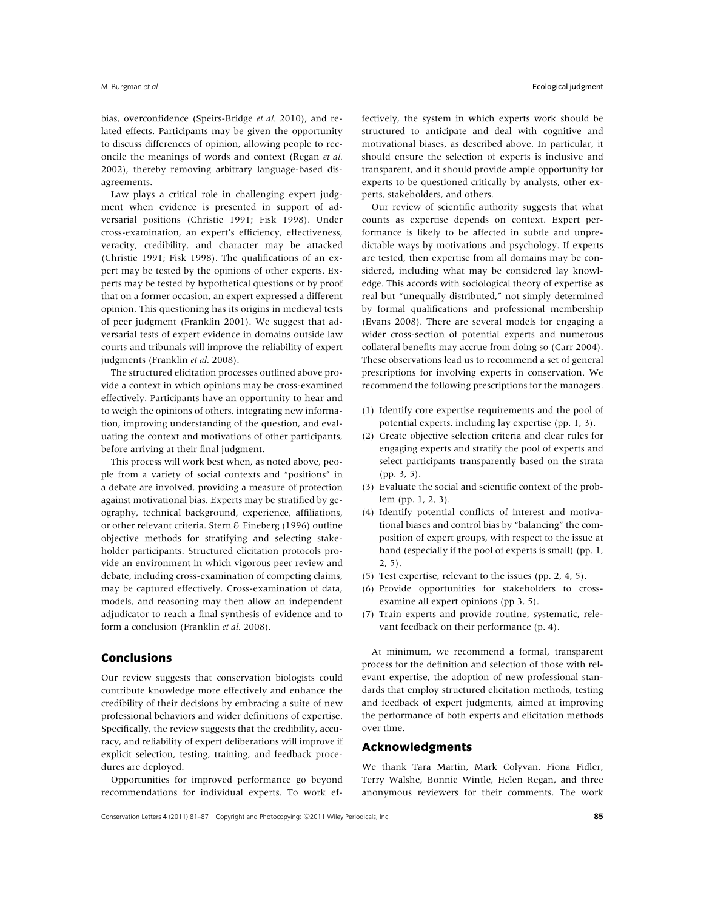bias, overconfidence (Speirs-Bridge *et al.* 2010), and related effects. Participants may be given the opportunity to discuss differences of opinion, allowing people to reconcile the meanings of words and context (Regan *et al.* 2002), thereby removing arbitrary language-based disagreements.

Law plays a critical role in challenging expert judgment when evidence is presented in support of adversarial positions (Christie 1991; Fisk 1998). Under cross-examination, an expert's efficiency, effectiveness, veracity, credibility, and character may be attacked (Christie 1991; Fisk 1998). The qualifications of an expert may be tested by the opinions of other experts. Experts may be tested by hypothetical questions or by proof that on a former occasion, an expert expressed a different opinion. This questioning has its origins in medieval tests of peer judgment (Franklin 2001). We suggest that adversarial tests of expert evidence in domains outside law courts and tribunals will improve the reliability of expert judgments (Franklin *et al.* 2008).

The structured elicitation processes outlined above provide a context in which opinions may be cross-examined effectively. Participants have an opportunity to hear and to weigh the opinions of others, integrating new information, improving understanding of the question, and evaluating the context and motivations of other participants, before arriving at their final judgment.

This process will work best when, as noted above, people from a variety of social contexts and "positions" in a debate are involved, providing a measure of protection against motivational bias. Experts may be stratified by geography, technical background, experience, affiliations, or other relevant criteria. Stern & Fineberg (1996) outline objective methods for stratifying and selecting stakeholder participants. Structured elicitation protocols provide an environment in which vigorous peer review and debate, including cross-examination of competing claims, may be captured effectively. Cross-examination of data, models, and reasoning may then allow an independent adjudicator to reach a final synthesis of evidence and to form a conclusion (Franklin *et al.* 2008).

# **Conclusions**

Our review suggests that conservation biologists could contribute knowledge more effectively and enhance the credibility of their decisions by embracing a suite of new professional behaviors and wider definitions of expertise. Specifically, the review suggests that the credibility, accuracy, and reliability of expert deliberations will improve if explicit selection, testing, training, and feedback procedures are deployed.

Opportunities for improved performance go beyond recommendations for individual experts. To work effectively, the system in which experts work should be structured to anticipate and deal with cognitive and motivational biases, as described above. In particular, it should ensure the selection of experts is inclusive and transparent, and it should provide ample opportunity for experts to be questioned critically by analysts, other experts, stakeholders, and others.

Our review of scientific authority suggests that what counts as expertise depends on context. Expert performance is likely to be affected in subtle and unpredictable ways by motivations and psychology. If experts are tested, then expertise from all domains may be considered, including what may be considered lay knowledge. This accords with sociological theory of expertise as real but "unequally distributed," not simply determined by formal qualifications and professional membership (Evans 2008). There are several models for engaging a wider cross-section of potential experts and numerous collateral benefits may accrue from doing so (Carr 2004). These observations lead us to recommend a set of general prescriptions for involving experts in conservation. We recommend the following prescriptions for the managers.

- (1) Identify core expertise requirements and the pool of potential experts, including lay expertise (pp. 1, 3).
- (2) Create objective selection criteria and clear rules for engaging experts and stratify the pool of experts and select participants transparently based on the strata (pp. 3, 5).
- (3) Evaluate the social and scientific context of the problem (pp. 1, 2, 3).
- (4) Identify potential conflicts of interest and motivational biases and control bias by "balancing" the composition of expert groups, with respect to the issue at hand (especially if the pool of experts is small) (pp. 1, 2, 5).
- (5) Test expertise, relevant to the issues (pp. 2, 4, 5).
- (6) Provide opportunities for stakeholders to crossexamine all expert opinions (pp 3, 5).
- (7) Train experts and provide routine, systematic, relevant feedback on their performance (p. 4).

At minimum, we recommend a formal, transparent process for the definition and selection of those with relevant expertise, the adoption of new professional standards that employ structured elicitation methods, testing and feedback of expert judgments, aimed at improving the performance of both experts and elicitation methods over time.

### **Acknowledgments**

We thank Tara Martin, Mark Colyvan, Fiona Fidler, Terry Walshe, Bonnie Wintle, Helen Regan, and three anonymous reviewers for their comments. The work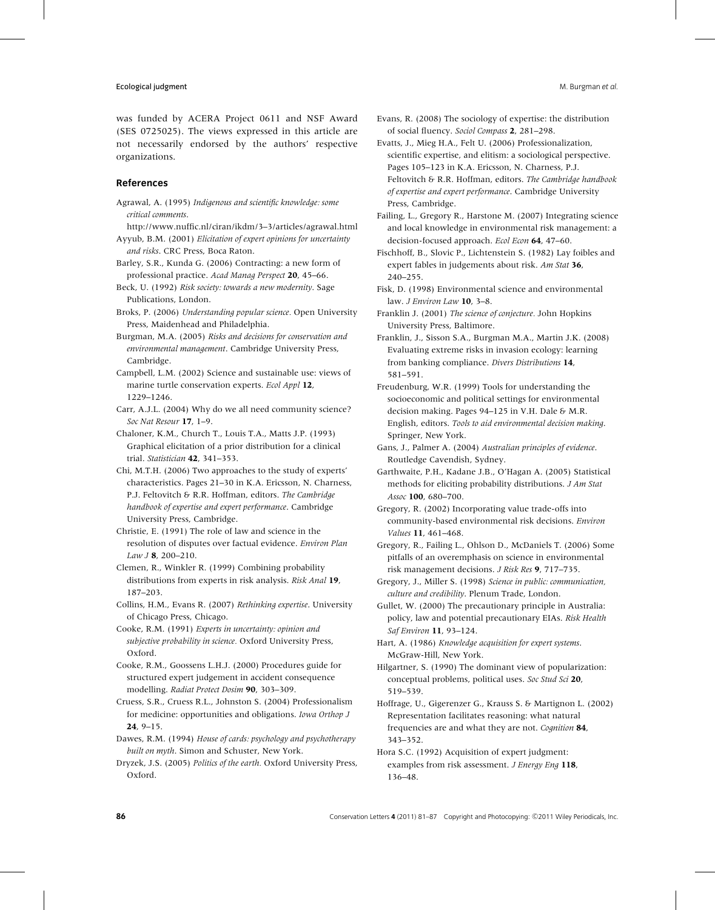was funded by ACERA Project 0611 and NSF Award (SES 0725025). The views expressed in this article are not necessarily endorsed by the authors' respective organizations.

### **References**

- Agrawal, A. (1995) *Indigenous and scientific knowledge: some critical comments*.
- http://www.nuffic.nl/ciran/ikdm/3–3/articles/agrawal.html Ayyub, B.M. (2001) *Elicitation of expert opinions for uncertainty*
- *and risks*. CRC Press, Boca Raton. Barley, S.R., Kunda G. (2006) Contracting: a new form of professional practice. *Acad Manag Perspect* **20**, 45–66.
- Beck, U. (1992) *Risk society: towards a new modernity*. Sage Publications, London.
- Broks, P. (2006) *Understanding popular science.* Open University Press, Maidenhead and Philadelphia.
- Burgman, M.A. (2005) *Risks and decisions for conservation and environmental management*. Cambridge University Press, Cambridge.
- Campbell, L.M. (2002) Science and sustainable use: views of marine turtle conservation experts. *Ecol Appl* **12**, 1229–1246.
- Carr, A.J.L. (2004) Why do we all need community science? *Soc Nat Resour* **17**, 1–9.
- Chaloner, K.M., Church T., Louis T.A., Matts J.P. (1993) Graphical elicitation of a prior distribution for a clinical trial. *Statistician* **42**, 341–353.
- Chi, M.T.H. (2006) Two approaches to the study of experts' characteristics. Pages 21–30 in K.A. Ericsson, N. Charness, P.J. Feltovitch & R.R. Hoffman, editors. *The Cambridge handbook of expertise and expert performance*. Cambridge University Press, Cambridge.
- Christie, E. (1991) The role of law and science in the resolution of disputes over factual evidence. *Environ Plan Law J* **8**, 200–210.
- Clemen, R., Winkler R. (1999) Combining probability distributions from experts in risk analysis. *Risk Anal* **19**, 187–203.
- Collins, H.M., Evans R. (2007) *Rethinking expertise*. University of Chicago Press, Chicago.
- Cooke, R.M. (1991) *Experts in uncertainty: opinion and subjective probability in science.* Oxford University Press, Oxford.
- Cooke, R.M., Goossens L.H.J. (2000) Procedures guide for structured expert judgement in accident consequence modelling. *Radiat Protect Dosim* **90**, 303–309.
- Cruess, S.R., Cruess R.L., Johnston S. (2004) Professionalism for medicine: opportunities and obligations. *Iowa Orthop J* **24**, 9–15.
- Dawes, R.M. (1994) *House of cards: psychology and psychotherapy built on myth*. Simon and Schuster, New York.
- Dryzek, J.S. (2005) *Politics of the earth.* Oxford University Press, Oxford.
- Evans, R. (2008) The sociology of expertise: the distribution of social fluency. *Sociol Compass* **2**, 281–298.
- Evatts, J., Mieg H.A., Felt U. (2006) Professionalization, scientific expertise, and elitism: a sociological perspective. Pages 105–123 in K.A. Ericsson, N. Charness, P.J. Feltovitch & R.R. Hoffman, editors. *The Cambridge handbook of expertise and expert performance*. Cambridge University Press, Cambridge.
- Failing, L., Gregory R., Harstone M. (2007) Integrating science and local knowledge in environmental risk management: a decision-focused approach. *Ecol Econ* **64**, 47–60.
- Fischhoff, B., Slovic P., Lichtenstein S. (1982) Lay foibles and expert fables in judgements about risk. *Am Stat* **36**, 240–255.
- Fisk, D. (1998) Environmental science and environmental law. *J Environ Law* **10**, 3–8.
- Franklin J. (2001) *The science of conjecture.* John Hopkins University Press, Baltimore.
- Franklin, J., Sisson S.A., Burgman M.A., Martin J.K. (2008) Evaluating extreme risks in invasion ecology: learning from banking compliance. *Divers Distributions* **14**, 581–591.
- Freudenburg, W.R. (1999) Tools for understanding the socioeconomic and political settings for environmental decision making. Pages 94–125 in V.H. Dale & M.R. English, editors. *Tools to aid environmental decision making*. Springer, New York.
- Gans, J., Palmer A. (2004) *Australian principles of evidence*. Routledge Cavendish, Sydney.
- Garthwaite, P.H., Kadane J.B., O'Hagan A. (2005) Statistical methods for eliciting probability distributions. *J Am Stat Assoc* **100**, 680–700.
- Gregory, R. (2002) Incorporating value trade-offs into community-based environmental risk decisions. *Environ Values* **11**, 461–468.
- Gregory, R., Failing L., Ohlson D., McDaniels T. (2006) Some pitfalls of an overemphasis on science in environmental risk management decisions. *J Risk Res* **9**, 717–735.
- Gregory, J., Miller S. (1998) *Science in public: communication, culture and credibility*. Plenum Trade, London.
- Gullet, W. (2000) The precautionary principle in Australia: policy, law and potential precautionary EIAs. *Risk Health Saf Environ* **11**, 93–124.
- Hart, A. (1986) *Knowledge acquisition for expert systems*. McGraw-Hill, New York.
- Hilgartner, S. (1990) The dominant view of popularization: conceptual problems, political uses. *Soc Stud Sci* **20**, 519–539.
- Hoffrage, U., Gigerenzer G., Krauss S. & Martignon L. (2002) Representation facilitates reasoning: what natural frequencies are and what they are not. *Cognition* **84**, 343–352.
- Hora S.C. (1992) Acquisition of expert judgment: examples from risk assessment. *J Energy Eng* **118**, 136–48.